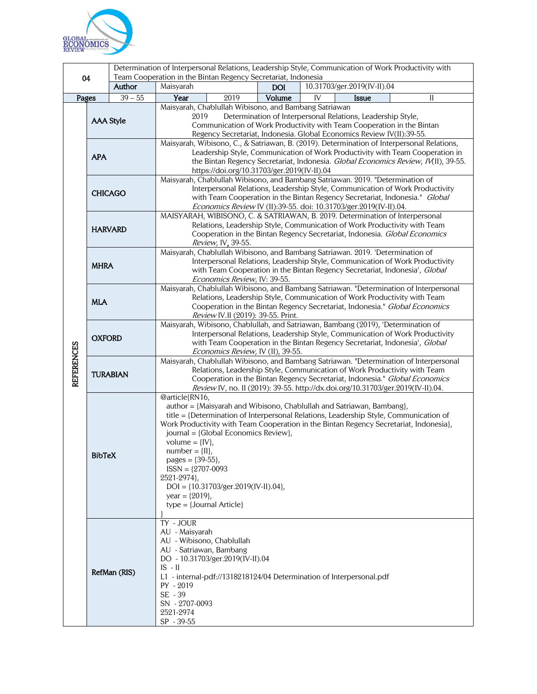

| 10.31703/ger.2019(IV-II).04<br>Author<br>Maisyarah<br><b>DOI</b><br>$39 - 55$<br>Year<br>2019<br>Volume<br>IV<br>Pages<br><b>Issue</b><br>Н<br>Maisyarah, Chablullah Wibisono, and Bambang Satriawan<br>2019<br>Determination of Interpersonal Relations, Leadership Style,<br><b>AAA Style</b><br>Communication of Work Productivity with Team Cooperation in the Bintan<br>Regency Secretariat, Indonesia. Global Economics Review IV(II):39-55.<br>Maisyarah, Wibisono, C., & Satriawan, B. (2019). Determination of Interpersonal Relations,<br>Leadership Style, Communication of Work Productivity with Team Cooperation in<br><b>APA</b><br>the Bintan Regency Secretariat, Indonesia. Global Economics Review, IV(II), 39-55.<br>https://doi.org/10.31703/ger.2019(IV-II).04<br>Maisyarah, Chablullah Wibisono, and Bambang Satriawan. 2019. "Determination of<br>Interpersonal Relations, Leadership Style, Communication of Work Productivity<br><b>CHICAGO</b><br>with Team Cooperation in the Bintan Regency Secretariat, Indonesia." Global<br>Economics Review IV (II):39-55. doi: 10.31703/ger.2019(IV-II).04.<br>MAISYARAH, WIBISONO, C. & SATRIAWAN, B. 2019. Determination of Interpersonal<br>Relations, Leadership Style, Communication of Work Productivity with Team<br><b>HARVARD</b><br>Cooperation in the Bintan Regency Secretariat, Indonesia. Global Economics<br>Review, IV, 39-55.<br>Maisyarah, Chablullah Wibisono, and Bambang Satriawan. 2019. 'Determination of<br>Interpersonal Relations, Leadership Style, Communication of Work Productivity<br><b>MHRA</b><br>with Team Cooperation in the Bintan Regency Secretariat, Indonesia', Global<br>Economics Review, IV: 39-55.<br>Maisyarah, Chablullah Wibisono, and Bambang Satriawan. "Determination of Interpersonal<br>Relations, Leadership Style, Communication of Work Productivity with Team<br><b>MLA</b><br>Cooperation in the Bintan Regency Secretariat, Indonesia." Global Economics<br>Review IV.II (2019): 39-55. Print.<br>Maisyarah, Wibisono, Chablullah, and Satriawan, Bambang (2019), 'Determination of<br>Interpersonal Relations, Leadership Style, Communication of Work Productivity<br><b>OXFORD</b><br>with Team Cooperation in the Bintan Regency Secretariat, Indonesia', Global<br><b>REFERENCES</b><br>Economics Review, IV (II), 39-55.<br>Maisyarah, Chablullah Wibisono, and Bambang Satriawan. "Determination of Interpersonal<br>Relations, Leadership Style, Communication of Work Productivity with Team<br><b>TURABIAN</b><br>Cooperation in the Bintan Regency Secretariat, Indonesia." Global Economics<br>Review IV, no. II (2019): 39-55. http://dx.doi.org/10.31703/ger.2019(IV-II).04.<br>@article{RN16,<br>author = {Maisyarah and Wibisono, Chablullah and Satriawan, Bambang},<br>title = {Determination of Interpersonal Relations, Leadership Style, Communication of<br>Work Productivity with Team Cooperation in the Bintan Regency Secretariat, Indonesia},<br>journal = {Global Economics Review},<br>volume = $\{IV\},\$<br>$number = \{II\},\$<br><b>BibTeX</b><br>pages = $\{39-55\}$ ,<br>$ISSN = \{2707-0093$<br>2521-2974},<br>$DOI = \{10.31703/ger.2019(IV-II).04\},\$<br>year = $\{2019\}$ ,<br>$type = {Journal Article}$<br>TY - JOUR<br>AU - Maisyarah<br>AU - Wibisono, Chablullah<br>AU - Satriawan, Bambang<br>DO - 10.31703/ger.2019(IV-II).04<br>$IS - II$<br>RefMan (RIS)<br>L1 - internal-pdf://1318218124/04 Determination of Interpersonal.pdf<br>PY - 2019<br>SE - 39<br>SN - 2707-0093 | 04 |  | Determination of Interpersonal Relations, Leadership Style, Communication of Work Productivity with<br>Team Cooperation in the Bintan Regency Secretariat, Indonesia |  |  |  |  |
|----------------------------------------------------------------------------------------------------------------------------------------------------------------------------------------------------------------------------------------------------------------------------------------------------------------------------------------------------------------------------------------------------------------------------------------------------------------------------------------------------------------------------------------------------------------------------------------------------------------------------------------------------------------------------------------------------------------------------------------------------------------------------------------------------------------------------------------------------------------------------------------------------------------------------------------------------------------------------------------------------------------------------------------------------------------------------------------------------------------------------------------------------------------------------------------------------------------------------------------------------------------------------------------------------------------------------------------------------------------------------------------------------------------------------------------------------------------------------------------------------------------------------------------------------------------------------------------------------------------------------------------------------------------------------------------------------------------------------------------------------------------------------------------------------------------------------------------------------------------------------------------------------------------------------------------------------------------------------------------------------------------------------------------------------------------------------------------------------------------------------------------------------------------------------------------------------------------------------------------------------------------------------------------------------------------------------------------------------------------------------------------------------------------------------------------------------------------------------------------------------------------------------------------------------------------------------------------------------------------------------------------------------------------------------------------------------------------------------------------------------------------------------------------------------------------------------------------------------------------------------------------------------------------------------------------------------------------------------------------------------------------------------------------------------------------------------------------------------------------------------------------------------------------------------------------------------------------------------------------------------------------------------------------------------------------------------------------------------------------------------------------------------------------------------------------------------------------------------------------------------------------------------------------------------------|----|--|----------------------------------------------------------------------------------------------------------------------------------------------------------------------|--|--|--|--|
|                                                                                                                                                                                                                                                                                                                                                                                                                                                                                                                                                                                                                                                                                                                                                                                                                                                                                                                                                                                                                                                                                                                                                                                                                                                                                                                                                                                                                                                                                                                                                                                                                                                                                                                                                                                                                                                                                                                                                                                                                                                                                                                                                                                                                                                                                                                                                                                                                                                                                                                                                                                                                                                                                                                                                                                                                                                                                                                                                                                                                                                                                                                                                                                                                                                                                                                                                                                                                                                                                                                                                          |    |  |                                                                                                                                                                      |  |  |  |  |
|                                                                                                                                                                                                                                                                                                                                                                                                                                                                                                                                                                                                                                                                                                                                                                                                                                                                                                                                                                                                                                                                                                                                                                                                                                                                                                                                                                                                                                                                                                                                                                                                                                                                                                                                                                                                                                                                                                                                                                                                                                                                                                                                                                                                                                                                                                                                                                                                                                                                                                                                                                                                                                                                                                                                                                                                                                                                                                                                                                                                                                                                                                                                                                                                                                                                                                                                                                                                                                                                                                                                                          |    |  |                                                                                                                                                                      |  |  |  |  |
|                                                                                                                                                                                                                                                                                                                                                                                                                                                                                                                                                                                                                                                                                                                                                                                                                                                                                                                                                                                                                                                                                                                                                                                                                                                                                                                                                                                                                                                                                                                                                                                                                                                                                                                                                                                                                                                                                                                                                                                                                                                                                                                                                                                                                                                                                                                                                                                                                                                                                                                                                                                                                                                                                                                                                                                                                                                                                                                                                                                                                                                                                                                                                                                                                                                                                                                                                                                                                                                                                                                                                          |    |  |                                                                                                                                                                      |  |  |  |  |
|                                                                                                                                                                                                                                                                                                                                                                                                                                                                                                                                                                                                                                                                                                                                                                                                                                                                                                                                                                                                                                                                                                                                                                                                                                                                                                                                                                                                                                                                                                                                                                                                                                                                                                                                                                                                                                                                                                                                                                                                                                                                                                                                                                                                                                                                                                                                                                                                                                                                                                                                                                                                                                                                                                                                                                                                                                                                                                                                                                                                                                                                                                                                                                                                                                                                                                                                                                                                                                                                                                                                                          |    |  |                                                                                                                                                                      |  |  |  |  |
|                                                                                                                                                                                                                                                                                                                                                                                                                                                                                                                                                                                                                                                                                                                                                                                                                                                                                                                                                                                                                                                                                                                                                                                                                                                                                                                                                                                                                                                                                                                                                                                                                                                                                                                                                                                                                                                                                                                                                                                                                                                                                                                                                                                                                                                                                                                                                                                                                                                                                                                                                                                                                                                                                                                                                                                                                                                                                                                                                                                                                                                                                                                                                                                                                                                                                                                                                                                                                                                                                                                                                          |    |  |                                                                                                                                                                      |  |  |  |  |
|                                                                                                                                                                                                                                                                                                                                                                                                                                                                                                                                                                                                                                                                                                                                                                                                                                                                                                                                                                                                                                                                                                                                                                                                                                                                                                                                                                                                                                                                                                                                                                                                                                                                                                                                                                                                                                                                                                                                                                                                                                                                                                                                                                                                                                                                                                                                                                                                                                                                                                                                                                                                                                                                                                                                                                                                                                                                                                                                                                                                                                                                                                                                                                                                                                                                                                                                                                                                                                                                                                                                                          |    |  |                                                                                                                                                                      |  |  |  |  |
|                                                                                                                                                                                                                                                                                                                                                                                                                                                                                                                                                                                                                                                                                                                                                                                                                                                                                                                                                                                                                                                                                                                                                                                                                                                                                                                                                                                                                                                                                                                                                                                                                                                                                                                                                                                                                                                                                                                                                                                                                                                                                                                                                                                                                                                                                                                                                                                                                                                                                                                                                                                                                                                                                                                                                                                                                                                                                                                                                                                                                                                                                                                                                                                                                                                                                                                                                                                                                                                                                                                                                          |    |  |                                                                                                                                                                      |  |  |  |  |
|                                                                                                                                                                                                                                                                                                                                                                                                                                                                                                                                                                                                                                                                                                                                                                                                                                                                                                                                                                                                                                                                                                                                                                                                                                                                                                                                                                                                                                                                                                                                                                                                                                                                                                                                                                                                                                                                                                                                                                                                                                                                                                                                                                                                                                                                                                                                                                                                                                                                                                                                                                                                                                                                                                                                                                                                                                                                                                                                                                                                                                                                                                                                                                                                                                                                                                                                                                                                                                                                                                                                                          |    |  |                                                                                                                                                                      |  |  |  |  |
|                                                                                                                                                                                                                                                                                                                                                                                                                                                                                                                                                                                                                                                                                                                                                                                                                                                                                                                                                                                                                                                                                                                                                                                                                                                                                                                                                                                                                                                                                                                                                                                                                                                                                                                                                                                                                                                                                                                                                                                                                                                                                                                                                                                                                                                                                                                                                                                                                                                                                                                                                                                                                                                                                                                                                                                                                                                                                                                                                                                                                                                                                                                                                                                                                                                                                                                                                                                                                                                                                                                                                          |    |  |                                                                                                                                                                      |  |  |  |  |
|                                                                                                                                                                                                                                                                                                                                                                                                                                                                                                                                                                                                                                                                                                                                                                                                                                                                                                                                                                                                                                                                                                                                                                                                                                                                                                                                                                                                                                                                                                                                                                                                                                                                                                                                                                                                                                                                                                                                                                                                                                                                                                                                                                                                                                                                                                                                                                                                                                                                                                                                                                                                                                                                                                                                                                                                                                                                                                                                                                                                                                                                                                                                                                                                                                                                                                                                                                                                                                                                                                                                                          |    |  |                                                                                                                                                                      |  |  |  |  |
|                                                                                                                                                                                                                                                                                                                                                                                                                                                                                                                                                                                                                                                                                                                                                                                                                                                                                                                                                                                                                                                                                                                                                                                                                                                                                                                                                                                                                                                                                                                                                                                                                                                                                                                                                                                                                                                                                                                                                                                                                                                                                                                                                                                                                                                                                                                                                                                                                                                                                                                                                                                                                                                                                                                                                                                                                                                                                                                                                                                                                                                                                                                                                                                                                                                                                                                                                                                                                                                                                                                                                          |    |  |                                                                                                                                                                      |  |  |  |  |
|                                                                                                                                                                                                                                                                                                                                                                                                                                                                                                                                                                                                                                                                                                                                                                                                                                                                                                                                                                                                                                                                                                                                                                                                                                                                                                                                                                                                                                                                                                                                                                                                                                                                                                                                                                                                                                                                                                                                                                                                                                                                                                                                                                                                                                                                                                                                                                                                                                                                                                                                                                                                                                                                                                                                                                                                                                                                                                                                                                                                                                                                                                                                                                                                                                                                                                                                                                                                                                                                                                                                                          |    |  |                                                                                                                                                                      |  |  |  |  |
|                                                                                                                                                                                                                                                                                                                                                                                                                                                                                                                                                                                                                                                                                                                                                                                                                                                                                                                                                                                                                                                                                                                                                                                                                                                                                                                                                                                                                                                                                                                                                                                                                                                                                                                                                                                                                                                                                                                                                                                                                                                                                                                                                                                                                                                                                                                                                                                                                                                                                                                                                                                                                                                                                                                                                                                                                                                                                                                                                                                                                                                                                                                                                                                                                                                                                                                                                                                                                                                                                                                                                          |    |  |                                                                                                                                                                      |  |  |  |  |
|                                                                                                                                                                                                                                                                                                                                                                                                                                                                                                                                                                                                                                                                                                                                                                                                                                                                                                                                                                                                                                                                                                                                                                                                                                                                                                                                                                                                                                                                                                                                                                                                                                                                                                                                                                                                                                                                                                                                                                                                                                                                                                                                                                                                                                                                                                                                                                                                                                                                                                                                                                                                                                                                                                                                                                                                                                                                                                                                                                                                                                                                                                                                                                                                                                                                                                                                                                                                                                                                                                                                                          |    |  |                                                                                                                                                                      |  |  |  |  |
|                                                                                                                                                                                                                                                                                                                                                                                                                                                                                                                                                                                                                                                                                                                                                                                                                                                                                                                                                                                                                                                                                                                                                                                                                                                                                                                                                                                                                                                                                                                                                                                                                                                                                                                                                                                                                                                                                                                                                                                                                                                                                                                                                                                                                                                                                                                                                                                                                                                                                                                                                                                                                                                                                                                                                                                                                                                                                                                                                                                                                                                                                                                                                                                                                                                                                                                                                                                                                                                                                                                                                          |    |  |                                                                                                                                                                      |  |  |  |  |
|                                                                                                                                                                                                                                                                                                                                                                                                                                                                                                                                                                                                                                                                                                                                                                                                                                                                                                                                                                                                                                                                                                                                                                                                                                                                                                                                                                                                                                                                                                                                                                                                                                                                                                                                                                                                                                                                                                                                                                                                                                                                                                                                                                                                                                                                                                                                                                                                                                                                                                                                                                                                                                                                                                                                                                                                                                                                                                                                                                                                                                                                                                                                                                                                                                                                                                                                                                                                                                                                                                                                                          |    |  |                                                                                                                                                                      |  |  |  |  |
|                                                                                                                                                                                                                                                                                                                                                                                                                                                                                                                                                                                                                                                                                                                                                                                                                                                                                                                                                                                                                                                                                                                                                                                                                                                                                                                                                                                                                                                                                                                                                                                                                                                                                                                                                                                                                                                                                                                                                                                                                                                                                                                                                                                                                                                                                                                                                                                                                                                                                                                                                                                                                                                                                                                                                                                                                                                                                                                                                                                                                                                                                                                                                                                                                                                                                                                                                                                                                                                                                                                                                          |    |  |                                                                                                                                                                      |  |  |  |  |
|                                                                                                                                                                                                                                                                                                                                                                                                                                                                                                                                                                                                                                                                                                                                                                                                                                                                                                                                                                                                                                                                                                                                                                                                                                                                                                                                                                                                                                                                                                                                                                                                                                                                                                                                                                                                                                                                                                                                                                                                                                                                                                                                                                                                                                                                                                                                                                                                                                                                                                                                                                                                                                                                                                                                                                                                                                                                                                                                                                                                                                                                                                                                                                                                                                                                                                                                                                                                                                                                                                                                                          |    |  |                                                                                                                                                                      |  |  |  |  |
|                                                                                                                                                                                                                                                                                                                                                                                                                                                                                                                                                                                                                                                                                                                                                                                                                                                                                                                                                                                                                                                                                                                                                                                                                                                                                                                                                                                                                                                                                                                                                                                                                                                                                                                                                                                                                                                                                                                                                                                                                                                                                                                                                                                                                                                                                                                                                                                                                                                                                                                                                                                                                                                                                                                                                                                                                                                                                                                                                                                                                                                                                                                                                                                                                                                                                                                                                                                                                                                                                                                                                          |    |  |                                                                                                                                                                      |  |  |  |  |
|                                                                                                                                                                                                                                                                                                                                                                                                                                                                                                                                                                                                                                                                                                                                                                                                                                                                                                                                                                                                                                                                                                                                                                                                                                                                                                                                                                                                                                                                                                                                                                                                                                                                                                                                                                                                                                                                                                                                                                                                                                                                                                                                                                                                                                                                                                                                                                                                                                                                                                                                                                                                                                                                                                                                                                                                                                                                                                                                                                                                                                                                                                                                                                                                                                                                                                                                                                                                                                                                                                                                                          |    |  |                                                                                                                                                                      |  |  |  |  |
|                                                                                                                                                                                                                                                                                                                                                                                                                                                                                                                                                                                                                                                                                                                                                                                                                                                                                                                                                                                                                                                                                                                                                                                                                                                                                                                                                                                                                                                                                                                                                                                                                                                                                                                                                                                                                                                                                                                                                                                                                                                                                                                                                                                                                                                                                                                                                                                                                                                                                                                                                                                                                                                                                                                                                                                                                                                                                                                                                                                                                                                                                                                                                                                                                                                                                                                                                                                                                                                                                                                                                          |    |  |                                                                                                                                                                      |  |  |  |  |
|                                                                                                                                                                                                                                                                                                                                                                                                                                                                                                                                                                                                                                                                                                                                                                                                                                                                                                                                                                                                                                                                                                                                                                                                                                                                                                                                                                                                                                                                                                                                                                                                                                                                                                                                                                                                                                                                                                                                                                                                                                                                                                                                                                                                                                                                                                                                                                                                                                                                                                                                                                                                                                                                                                                                                                                                                                                                                                                                                                                                                                                                                                                                                                                                                                                                                                                                                                                                                                                                                                                                                          |    |  |                                                                                                                                                                      |  |  |  |  |
|                                                                                                                                                                                                                                                                                                                                                                                                                                                                                                                                                                                                                                                                                                                                                                                                                                                                                                                                                                                                                                                                                                                                                                                                                                                                                                                                                                                                                                                                                                                                                                                                                                                                                                                                                                                                                                                                                                                                                                                                                                                                                                                                                                                                                                                                                                                                                                                                                                                                                                                                                                                                                                                                                                                                                                                                                                                                                                                                                                                                                                                                                                                                                                                                                                                                                                                                                                                                                                                                                                                                                          |    |  |                                                                                                                                                                      |  |  |  |  |
|                                                                                                                                                                                                                                                                                                                                                                                                                                                                                                                                                                                                                                                                                                                                                                                                                                                                                                                                                                                                                                                                                                                                                                                                                                                                                                                                                                                                                                                                                                                                                                                                                                                                                                                                                                                                                                                                                                                                                                                                                                                                                                                                                                                                                                                                                                                                                                                                                                                                                                                                                                                                                                                                                                                                                                                                                                                                                                                                                                                                                                                                                                                                                                                                                                                                                                                                                                                                                                                                                                                                                          |    |  |                                                                                                                                                                      |  |  |  |  |
|                                                                                                                                                                                                                                                                                                                                                                                                                                                                                                                                                                                                                                                                                                                                                                                                                                                                                                                                                                                                                                                                                                                                                                                                                                                                                                                                                                                                                                                                                                                                                                                                                                                                                                                                                                                                                                                                                                                                                                                                                                                                                                                                                                                                                                                                                                                                                                                                                                                                                                                                                                                                                                                                                                                                                                                                                                                                                                                                                                                                                                                                                                                                                                                                                                                                                                                                                                                                                                                                                                                                                          |    |  |                                                                                                                                                                      |  |  |  |  |
|                                                                                                                                                                                                                                                                                                                                                                                                                                                                                                                                                                                                                                                                                                                                                                                                                                                                                                                                                                                                                                                                                                                                                                                                                                                                                                                                                                                                                                                                                                                                                                                                                                                                                                                                                                                                                                                                                                                                                                                                                                                                                                                                                                                                                                                                                                                                                                                                                                                                                                                                                                                                                                                                                                                                                                                                                                                                                                                                                                                                                                                                                                                                                                                                                                                                                                                                                                                                                                                                                                                                                          |    |  |                                                                                                                                                                      |  |  |  |  |
|                                                                                                                                                                                                                                                                                                                                                                                                                                                                                                                                                                                                                                                                                                                                                                                                                                                                                                                                                                                                                                                                                                                                                                                                                                                                                                                                                                                                                                                                                                                                                                                                                                                                                                                                                                                                                                                                                                                                                                                                                                                                                                                                                                                                                                                                                                                                                                                                                                                                                                                                                                                                                                                                                                                                                                                                                                                                                                                                                                                                                                                                                                                                                                                                                                                                                                                                                                                                                                                                                                                                                          |    |  |                                                                                                                                                                      |  |  |  |  |
|                                                                                                                                                                                                                                                                                                                                                                                                                                                                                                                                                                                                                                                                                                                                                                                                                                                                                                                                                                                                                                                                                                                                                                                                                                                                                                                                                                                                                                                                                                                                                                                                                                                                                                                                                                                                                                                                                                                                                                                                                                                                                                                                                                                                                                                                                                                                                                                                                                                                                                                                                                                                                                                                                                                                                                                                                                                                                                                                                                                                                                                                                                                                                                                                                                                                                                                                                                                                                                                                                                                                                          |    |  |                                                                                                                                                                      |  |  |  |  |
|                                                                                                                                                                                                                                                                                                                                                                                                                                                                                                                                                                                                                                                                                                                                                                                                                                                                                                                                                                                                                                                                                                                                                                                                                                                                                                                                                                                                                                                                                                                                                                                                                                                                                                                                                                                                                                                                                                                                                                                                                                                                                                                                                                                                                                                                                                                                                                                                                                                                                                                                                                                                                                                                                                                                                                                                                                                                                                                                                                                                                                                                                                                                                                                                                                                                                                                                                                                                                                                                                                                                                          |    |  |                                                                                                                                                                      |  |  |  |  |
|                                                                                                                                                                                                                                                                                                                                                                                                                                                                                                                                                                                                                                                                                                                                                                                                                                                                                                                                                                                                                                                                                                                                                                                                                                                                                                                                                                                                                                                                                                                                                                                                                                                                                                                                                                                                                                                                                                                                                                                                                                                                                                                                                                                                                                                                                                                                                                                                                                                                                                                                                                                                                                                                                                                                                                                                                                                                                                                                                                                                                                                                                                                                                                                                                                                                                                                                                                                                                                                                                                                                                          |    |  |                                                                                                                                                                      |  |  |  |  |
|                                                                                                                                                                                                                                                                                                                                                                                                                                                                                                                                                                                                                                                                                                                                                                                                                                                                                                                                                                                                                                                                                                                                                                                                                                                                                                                                                                                                                                                                                                                                                                                                                                                                                                                                                                                                                                                                                                                                                                                                                                                                                                                                                                                                                                                                                                                                                                                                                                                                                                                                                                                                                                                                                                                                                                                                                                                                                                                                                                                                                                                                                                                                                                                                                                                                                                                                                                                                                                                                                                                                                          |    |  |                                                                                                                                                                      |  |  |  |  |
|                                                                                                                                                                                                                                                                                                                                                                                                                                                                                                                                                                                                                                                                                                                                                                                                                                                                                                                                                                                                                                                                                                                                                                                                                                                                                                                                                                                                                                                                                                                                                                                                                                                                                                                                                                                                                                                                                                                                                                                                                                                                                                                                                                                                                                                                                                                                                                                                                                                                                                                                                                                                                                                                                                                                                                                                                                                                                                                                                                                                                                                                                                                                                                                                                                                                                                                                                                                                                                                                                                                                                          |    |  |                                                                                                                                                                      |  |  |  |  |
|                                                                                                                                                                                                                                                                                                                                                                                                                                                                                                                                                                                                                                                                                                                                                                                                                                                                                                                                                                                                                                                                                                                                                                                                                                                                                                                                                                                                                                                                                                                                                                                                                                                                                                                                                                                                                                                                                                                                                                                                                                                                                                                                                                                                                                                                                                                                                                                                                                                                                                                                                                                                                                                                                                                                                                                                                                                                                                                                                                                                                                                                                                                                                                                                                                                                                                                                                                                                                                                                                                                                                          |    |  |                                                                                                                                                                      |  |  |  |  |
|                                                                                                                                                                                                                                                                                                                                                                                                                                                                                                                                                                                                                                                                                                                                                                                                                                                                                                                                                                                                                                                                                                                                                                                                                                                                                                                                                                                                                                                                                                                                                                                                                                                                                                                                                                                                                                                                                                                                                                                                                                                                                                                                                                                                                                                                                                                                                                                                                                                                                                                                                                                                                                                                                                                                                                                                                                                                                                                                                                                                                                                                                                                                                                                                                                                                                                                                                                                                                                                                                                                                                          |    |  |                                                                                                                                                                      |  |  |  |  |
|                                                                                                                                                                                                                                                                                                                                                                                                                                                                                                                                                                                                                                                                                                                                                                                                                                                                                                                                                                                                                                                                                                                                                                                                                                                                                                                                                                                                                                                                                                                                                                                                                                                                                                                                                                                                                                                                                                                                                                                                                                                                                                                                                                                                                                                                                                                                                                                                                                                                                                                                                                                                                                                                                                                                                                                                                                                                                                                                                                                                                                                                                                                                                                                                                                                                                                                                                                                                                                                                                                                                                          |    |  |                                                                                                                                                                      |  |  |  |  |
|                                                                                                                                                                                                                                                                                                                                                                                                                                                                                                                                                                                                                                                                                                                                                                                                                                                                                                                                                                                                                                                                                                                                                                                                                                                                                                                                                                                                                                                                                                                                                                                                                                                                                                                                                                                                                                                                                                                                                                                                                                                                                                                                                                                                                                                                                                                                                                                                                                                                                                                                                                                                                                                                                                                                                                                                                                                                                                                                                                                                                                                                                                                                                                                                                                                                                                                                                                                                                                                                                                                                                          |    |  |                                                                                                                                                                      |  |  |  |  |
|                                                                                                                                                                                                                                                                                                                                                                                                                                                                                                                                                                                                                                                                                                                                                                                                                                                                                                                                                                                                                                                                                                                                                                                                                                                                                                                                                                                                                                                                                                                                                                                                                                                                                                                                                                                                                                                                                                                                                                                                                                                                                                                                                                                                                                                                                                                                                                                                                                                                                                                                                                                                                                                                                                                                                                                                                                                                                                                                                                                                                                                                                                                                                                                                                                                                                                                                                                                                                                                                                                                                                          |    |  |                                                                                                                                                                      |  |  |  |  |
|                                                                                                                                                                                                                                                                                                                                                                                                                                                                                                                                                                                                                                                                                                                                                                                                                                                                                                                                                                                                                                                                                                                                                                                                                                                                                                                                                                                                                                                                                                                                                                                                                                                                                                                                                                                                                                                                                                                                                                                                                                                                                                                                                                                                                                                                                                                                                                                                                                                                                                                                                                                                                                                                                                                                                                                                                                                                                                                                                                                                                                                                                                                                                                                                                                                                                                                                                                                                                                                                                                                                                          |    |  |                                                                                                                                                                      |  |  |  |  |
|                                                                                                                                                                                                                                                                                                                                                                                                                                                                                                                                                                                                                                                                                                                                                                                                                                                                                                                                                                                                                                                                                                                                                                                                                                                                                                                                                                                                                                                                                                                                                                                                                                                                                                                                                                                                                                                                                                                                                                                                                                                                                                                                                                                                                                                                                                                                                                                                                                                                                                                                                                                                                                                                                                                                                                                                                                                                                                                                                                                                                                                                                                                                                                                                                                                                                                                                                                                                                                                                                                                                                          |    |  |                                                                                                                                                                      |  |  |  |  |
|                                                                                                                                                                                                                                                                                                                                                                                                                                                                                                                                                                                                                                                                                                                                                                                                                                                                                                                                                                                                                                                                                                                                                                                                                                                                                                                                                                                                                                                                                                                                                                                                                                                                                                                                                                                                                                                                                                                                                                                                                                                                                                                                                                                                                                                                                                                                                                                                                                                                                                                                                                                                                                                                                                                                                                                                                                                                                                                                                                                                                                                                                                                                                                                                                                                                                                                                                                                                                                                                                                                                                          |    |  |                                                                                                                                                                      |  |  |  |  |
|                                                                                                                                                                                                                                                                                                                                                                                                                                                                                                                                                                                                                                                                                                                                                                                                                                                                                                                                                                                                                                                                                                                                                                                                                                                                                                                                                                                                                                                                                                                                                                                                                                                                                                                                                                                                                                                                                                                                                                                                                                                                                                                                                                                                                                                                                                                                                                                                                                                                                                                                                                                                                                                                                                                                                                                                                                                                                                                                                                                                                                                                                                                                                                                                                                                                                                                                                                                                                                                                                                                                                          |    |  |                                                                                                                                                                      |  |  |  |  |
|                                                                                                                                                                                                                                                                                                                                                                                                                                                                                                                                                                                                                                                                                                                                                                                                                                                                                                                                                                                                                                                                                                                                                                                                                                                                                                                                                                                                                                                                                                                                                                                                                                                                                                                                                                                                                                                                                                                                                                                                                                                                                                                                                                                                                                                                                                                                                                                                                                                                                                                                                                                                                                                                                                                                                                                                                                                                                                                                                                                                                                                                                                                                                                                                                                                                                                                                                                                                                                                                                                                                                          |    |  |                                                                                                                                                                      |  |  |  |  |
|                                                                                                                                                                                                                                                                                                                                                                                                                                                                                                                                                                                                                                                                                                                                                                                                                                                                                                                                                                                                                                                                                                                                                                                                                                                                                                                                                                                                                                                                                                                                                                                                                                                                                                                                                                                                                                                                                                                                                                                                                                                                                                                                                                                                                                                                                                                                                                                                                                                                                                                                                                                                                                                                                                                                                                                                                                                                                                                                                                                                                                                                                                                                                                                                                                                                                                                                                                                                                                                                                                                                                          |    |  |                                                                                                                                                                      |  |  |  |  |
|                                                                                                                                                                                                                                                                                                                                                                                                                                                                                                                                                                                                                                                                                                                                                                                                                                                                                                                                                                                                                                                                                                                                                                                                                                                                                                                                                                                                                                                                                                                                                                                                                                                                                                                                                                                                                                                                                                                                                                                                                                                                                                                                                                                                                                                                                                                                                                                                                                                                                                                                                                                                                                                                                                                                                                                                                                                                                                                                                                                                                                                                                                                                                                                                                                                                                                                                                                                                                                                                                                                                                          |    |  |                                                                                                                                                                      |  |  |  |  |
|                                                                                                                                                                                                                                                                                                                                                                                                                                                                                                                                                                                                                                                                                                                                                                                                                                                                                                                                                                                                                                                                                                                                                                                                                                                                                                                                                                                                                                                                                                                                                                                                                                                                                                                                                                                                                                                                                                                                                                                                                                                                                                                                                                                                                                                                                                                                                                                                                                                                                                                                                                                                                                                                                                                                                                                                                                                                                                                                                                                                                                                                                                                                                                                                                                                                                                                                                                                                                                                                                                                                                          |    |  |                                                                                                                                                                      |  |  |  |  |
|                                                                                                                                                                                                                                                                                                                                                                                                                                                                                                                                                                                                                                                                                                                                                                                                                                                                                                                                                                                                                                                                                                                                                                                                                                                                                                                                                                                                                                                                                                                                                                                                                                                                                                                                                                                                                                                                                                                                                                                                                                                                                                                                                                                                                                                                                                                                                                                                                                                                                                                                                                                                                                                                                                                                                                                                                                                                                                                                                                                                                                                                                                                                                                                                                                                                                                                                                                                                                                                                                                                                                          |    |  |                                                                                                                                                                      |  |  |  |  |
|                                                                                                                                                                                                                                                                                                                                                                                                                                                                                                                                                                                                                                                                                                                                                                                                                                                                                                                                                                                                                                                                                                                                                                                                                                                                                                                                                                                                                                                                                                                                                                                                                                                                                                                                                                                                                                                                                                                                                                                                                                                                                                                                                                                                                                                                                                                                                                                                                                                                                                                                                                                                                                                                                                                                                                                                                                                                                                                                                                                                                                                                                                                                                                                                                                                                                                                                                                                                                                                                                                                                                          |    |  |                                                                                                                                                                      |  |  |  |  |
|                                                                                                                                                                                                                                                                                                                                                                                                                                                                                                                                                                                                                                                                                                                                                                                                                                                                                                                                                                                                                                                                                                                                                                                                                                                                                                                                                                                                                                                                                                                                                                                                                                                                                                                                                                                                                                                                                                                                                                                                                                                                                                                                                                                                                                                                                                                                                                                                                                                                                                                                                                                                                                                                                                                                                                                                                                                                                                                                                                                                                                                                                                                                                                                                                                                                                                                                                                                                                                                                                                                                                          |    |  |                                                                                                                                                                      |  |  |  |  |
| 2521-2974<br>SP - 39-55                                                                                                                                                                                                                                                                                                                                                                                                                                                                                                                                                                                                                                                                                                                                                                                                                                                                                                                                                                                                                                                                                                                                                                                                                                                                                                                                                                                                                                                                                                                                                                                                                                                                                                                                                                                                                                                                                                                                                                                                                                                                                                                                                                                                                                                                                                                                                                                                                                                                                                                                                                                                                                                                                                                                                                                                                                                                                                                                                                                                                                                                                                                                                                                                                                                                                                                                                                                                                                                                                                                                  |    |  |                                                                                                                                                                      |  |  |  |  |